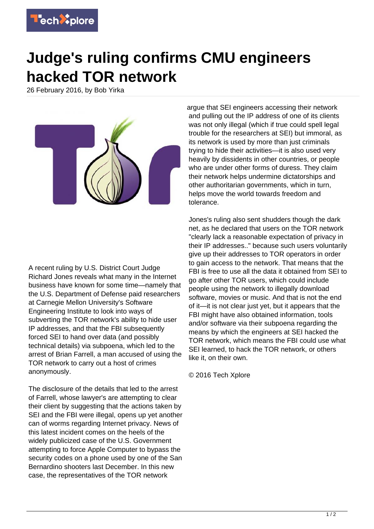

## **Judge's ruling confirms CMU engineers hacked TOR network**

26 February 2016, by Bob Yirka



A recent ruling by U.S. District Court Judge Richard Jones reveals what many in the Internet business have known for some time—namely that the U.S. Department of Defense paid researchers at Carnegie Mellon University's Software Engineering Institute to look into ways of subverting the TOR network's ability to hide user IP addresses, and that the FBI subsequently forced SEI to hand over data (and possibly technical details) via subpoena, which led to the arrest of Brian Farrell, a man accused of using the TOR network to carry out a host of crimes anonymously.

The disclosure of the details that led to the arrest of Farrell, whose lawyer's are attempting to clear their client by suggesting that the actions taken by SEI and the FBI were illegal, opens up yet another can of worms regarding Internet privacy. News of this latest incident comes on the heels of the widely publicized case of the U.S. Government attempting to force Apple Computer to bypass the security codes on a phone used by one of the San Bernardino shooters last December. In this new case, the representatives of the TOR network

argue that SEI engineers accessing their network and pulling out the IP address of one of its clients was not only illegal (which if true could spell legal trouble for the researchers at SEI) but immoral, as its network is used by more than just criminals trying to hide their activities—it is also used very heavily by dissidents in other countries, or people who are under other forms of duress. They claim their network helps undermine dictatorships and other authoritarian governments, which in turn, helps move the world towards freedom and tolerance.

Jones's ruling also sent shudders though the dark net, as he declared that users on the TOR network "clearly lack a reasonable expectation of privacy in their IP addresses.." because such users voluntarily give up their addresses to TOR operators in order to gain access to the network. That means that the FBI is free to use all the data it obtained from SEI to go after other TOR users, which could include people using the network to illegally download software, movies or music. And that is not the end of it—it is not clear just yet, but it appears that the FBI might have also obtained information, tools and/or software via their subpoena regarding the means by which the engineers at SEI hacked the TOR network, which means the FBI could use what SEI learned, to hack the TOR network, or others like it, on their own.

© 2016 Tech Xplore